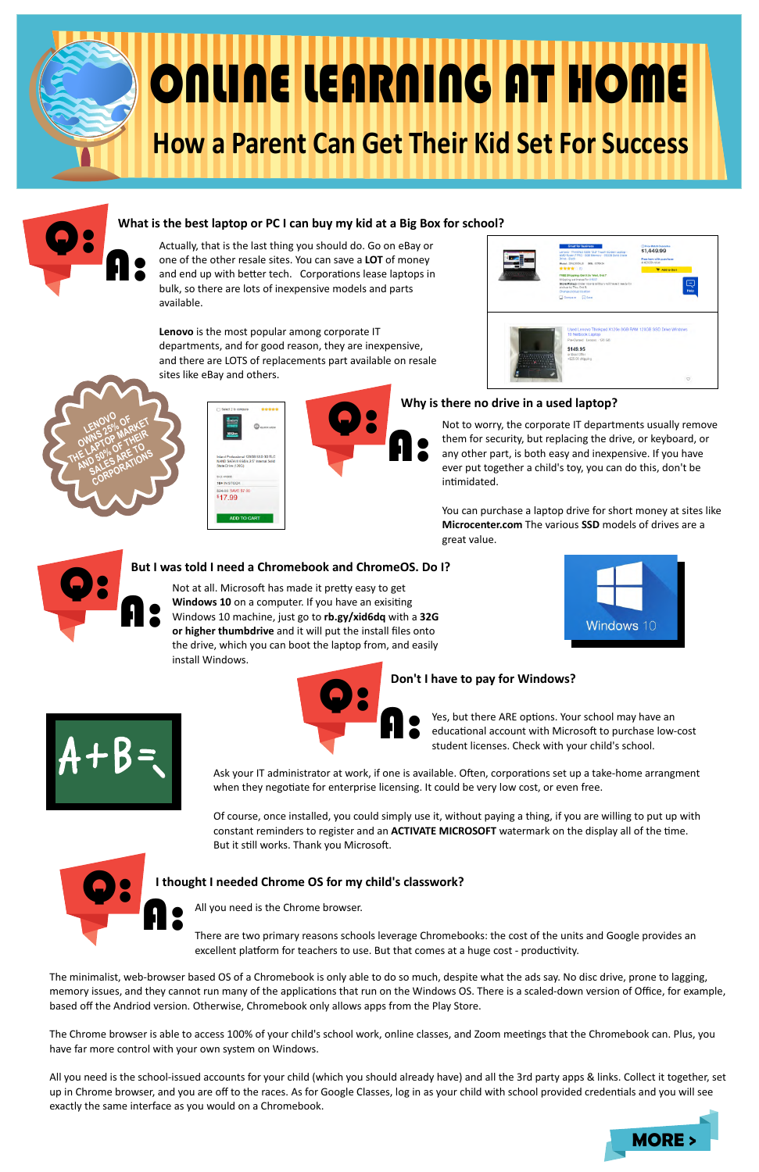

# ONLINE LEARNING AT HOME **How a Parent Can Get Their Kid Set For Success**



### **What is the best laptop or PC I can buy my kid at a Big Box for school?**

Actually, that is the last thing you should do. Go on eBay or one of the other resale sites. You can save a **LOT** of money and end up with better tech. Corporations lease laptops in bulk, so there are lots of inexpensive models and parts available.

> Not to worry, the corporate IT departments usually remove them for security, but replacing the drive, or keyboard, or any other part, is both easy and inexpensive. If you have ever put together a child's toy, you can do this, don't be intimidated.

**Lenovo** is the most popular among corporate IT departments, and for good reason, they are inexpensive, and there are LOTS of replacements part available on resale sites like eBay and others.



## \$1,449.99 Ę ad X120e 8GB RAM 120GB S \$149.95

### **Why is there no drive in a used laptop?**

Not at all. Microsoft has made it pretty easy to get **Windows 10** on a computer. If you have an exisiting Windows 10 machine, just go to **rb.gy/xid6dq** with a **32G or higher thumbdrive** and it will put the install files onto the drive, which you can boot the laptop from, and easily install Windows.





Yes, but there ARE options. Your school may have an educational account with Microsoft to purchase low-cost student licenses. Check with your child's school.

Ask your IT administrator at work, if one is available. Often, corporations set up a take-home arrangment when they negotiate for enterprise licensing. It could be very low cost, or even free.

You can purchase a laptop drive for short money at sites like **Microcenter.com** The various **SSD** models of drives are a great value.



LENOVO

**LENONS OF THE LAPTOP MARKET OWNS 20P MANEIR**<br>RE LAPTOP OF THEIR<br>RE LAPTOP OF RE TO AP OF LITO<br>D 50% RES ARE TON **CORPORATIONS**<br>CORPORATIONS

### **But I was told I need a Chromebook and ChromeOS. Do I?**

AVE \$7.00 \$17.99

The Chrome browser is able to access 100% of your child's school work, online classes, and Zoom meetings that the Chromebook can. Plus, you have far more control with your own system on Windows.

Of course, once installed, you could simply use it, without paying a thing, if you are willing to put up with constant reminders to register and an **ACTIVATE MICROSOFT** watermark on the display all of the time. But it still works. Thank you Microsoft.





### **Don't I have to pay for Windows?**

There are two primary reasons schools leverage Chromebooks: the cost of the units and Google provides an excellent platform for teachers to use. But that comes at a huge cost - productivity.



### **I thought I needed Chrome OS for my child's classwork?**

The minimalist, web-browser based OS of a Chromebook is only able to do so much, despite what the ads say. No disc drive, prone to lagging, memory issues, and they cannot run many of the applications that run on the Windows OS. There is a scaled-down version of Office, for example, based off the Andriod version. Otherwise, Chromebook only allows apps from the Play Store.

All you need is the school-issued accounts for your child (which you should already have) and all the 3rd party apps & links. Collect it together, set up in Chrome browser, and you are off to the races. As for Google Classes, log in as your child with school provided credentials and you will see exactly the same interface as you would on a Chromebook.

All you need is the Chrome browser.